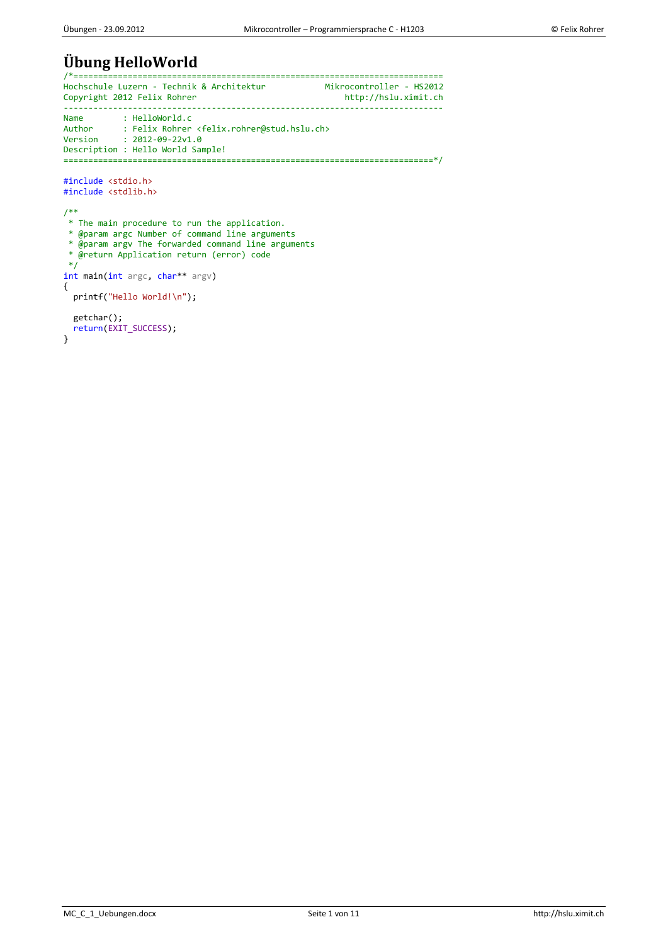# **Übung HelloWorld**

```
/*===========================================================================
Hochschule Luzern - Technik & Architektur Mikrocontroller - HS2012
Copyright 2012 Felix Rohrer
-----------------------------------------------------------------------------
Name : HelloWorld.c<br>Author : Felix Rohrer
Author : Felix Rohrer <felix.rohrer@stud.hslu.ch>
Version : 2012-09-22v1.0
Description : Hello World Sample!
===========================================================================*/
#include <stdio.h>
#include <stdlib.h>
/**
* The main procedure to run the application.
 * @param argc Number of command line arguments
 * @param argv The forwarded command line arguments
 * @return Application return (error) code
 */
int main(int argc, char** argv)
{
  printf("Hello World!\n");
   getchar();
   return(EXIT_SUCCESS);
}
```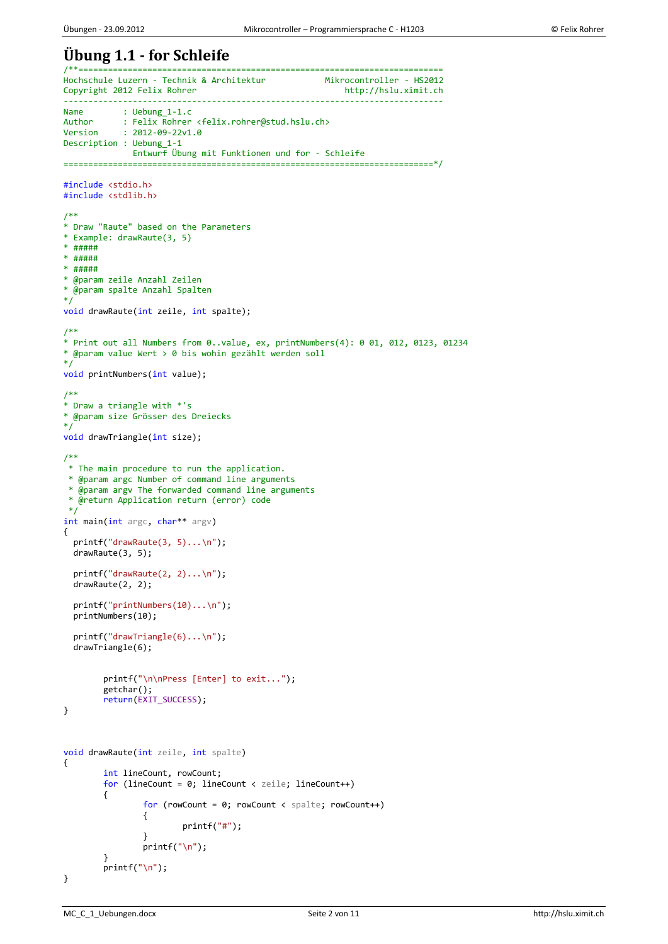### **Übung 1.1 - for Schleife** /\*\*==========================================================================

```
Hochschule Luzern - Technik & Architektur Mikrocontroller - HS2012<br>Copyright 2012 Felix Rohrer http://hslu.ximit.ch
Copyright 2012 Felix Rohrer
-----------------------------------------------------------------------------
Name : Uebung_1-1.c<br>Author : Felix Rohrer
Author : Felix Rohrer <felix.rohrer@stud.hslu.ch>
Version : 2012-09-22v1.0
Description : Uebung_1-1
              Entwurf Übung mit Funktionen und for - Schleife
===========================================================================*/
#include <stdio.h>
#include <stdlib.h>
/**
* Draw "Raute" based on the Parameters
* Example: drawRaute(3, 5)
* #####
* #####
* #####
* @param zeile Anzahl Zeilen
* @param spalte Anzahl Spalten
*/
void drawRaute(int zeile, int spalte);
/**
* Print out all Numbers from 0..value, ex, printNumbers(4): 0 01, 012, 0123, 01234
* @param value Wert > 0 bis wohin gezählt werden soll
*/
void printNumbers(int value);
/**
* Draw a triangle with *'s
* @param size Grösser des Dreiecks
*/
void drawTriangle(int size);
/**
* The main procedure to run the application.
 * @param argc Number of command line arguments
 * @param argv The forwarded command line arguments
 * @return Application return (error) code
 */
int main(int argc, char** argv)
{
   printf("drawRaute(3, 5)...\n");
   drawRaute(3, 5);
   printf("drawRaute(2, 2)...\n");
   drawRaute(2, 2);
   printf("printNumbers(10)...\n");
   printNumbers(10);
   printf("drawTriangle(6)...\n");
   drawTriangle(6);
         printf("\n\nPress [Enter] to exit...");
         getchar();
         return(EXIT_SUCCESS);
}
void drawRaute(int zeile, int spalte)
{
         int lineCount, rowCount;
         for (lineCount = 0; lineCount < zeile; lineCount++)
         {
                 for (rowCount = 0; rowCount < spalte; rowCount++)
                 {
                          printf("#");
                 }
                 printf("n");
         }
         printf("\n");
}
```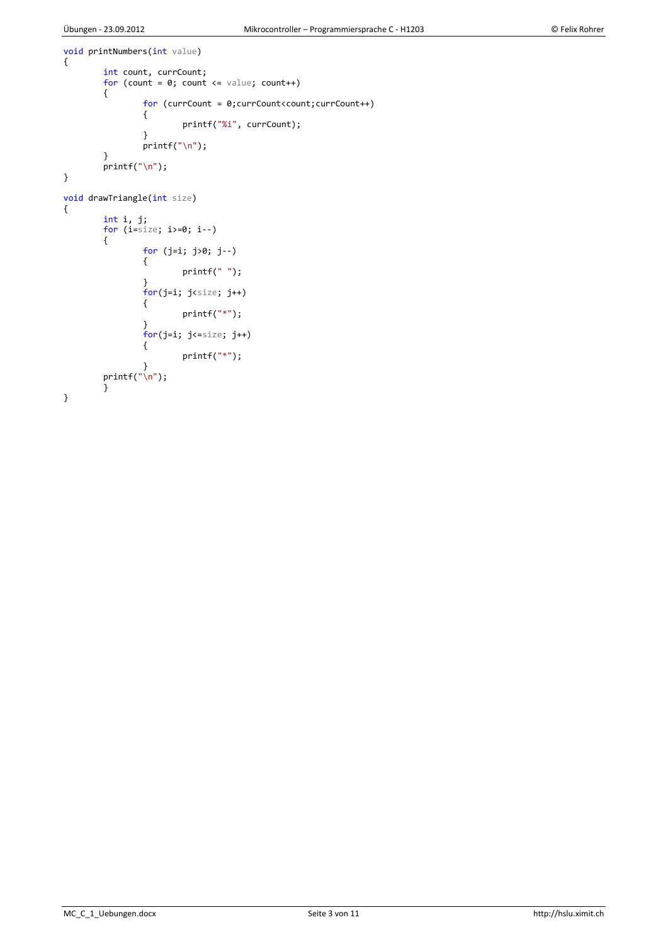```
void printNumbers(int value)
{
        int count, currCount;
        for (count = 0; count <= value; count++)
        {
                for (currCount = 0;currCount<count;currCount++)
                {
                        printf("%i", currCount);
                }
                printf("n");
        }
        printf("n");
}
void drawTriangle(int size)
{
        int i, j;
        for (i = size; i) = 0; i - j{
                for (j=i; j>0; j--)
                {
                        printf(" ");
                }
                for(j=i; j size; j++){
                         printf("*");
                }
                for(j=i; j<=size; j++){
                        printf("*");
                 }
        printf("\n");
        }
}
```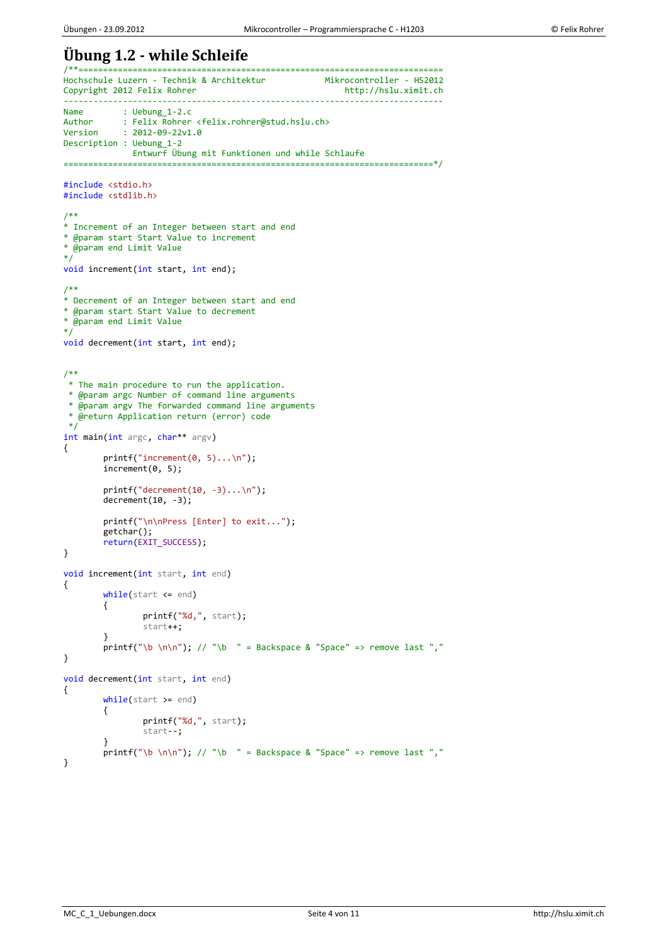### **Übung 1.2 - while Schleife**

```
/**==========================================================================
Hochschule Luzern - Technik & Architektur Mikrocontroller - HS2012<br>Copyright 2012 Felix Rohrer http://hslu.ximit.ch
Copyright 2012 Felix Rohrer
-----------------------------------------------------------------------------
Name : Uebung_1-2.c<br>Author : Felix Rohrer
Author : Felix Rohrer <felix.rohrer@stud.hslu.ch>
Version : 2012-09-22v1.0
Description : Uebung_1-2
              Entwurf Übung mit Funktionen und while Schlaufe
===========================================================================*/
#include <stdio.h>
#include <stdlib.h>
/**
* Increment of an Integer between start and end
* @param start Start Value to increment
* @param end Limit Value
*/
void increment(int start, int end);
/**
* Decrement of an Integer between start and end
* @param start Start Value to decrement
* @param end Limit Value
*/
void decrement(int start, int end);
/**
 * The main procedure to run the application.
 * @param argc Number of command line arguments
 * @param argv The forwarded command line arguments
 * @return Application return (error) code
 */
int main(int argc, char** argv)
{
         printf("increment(0, 5)...\n\cdot \n\cdot);
         increment(0, 5);
         printf("decrement(10, -3)...\n\cdot \n\cdot");
         decrement(10, -3);printf("\n\nPress [Enter] to exit...");
         getchar();
         return(EXIT_SUCCESS);
}
void increment(int start, int end)
{
        while(start <= end)
         {
                  printf("%d,", start);
                 start++;
         }
         printf("\b \n\n"); // "\b " = Backspace & "Space" => remove last ","
}
void decrement(int start, int end)
{
         while(start >= end)
         {
                 printf("%d,", start);
                  start--;
         }
         printf("b \n\cdot n\n'); // "\b " = Backspace & "Space" => remove last ","
}
```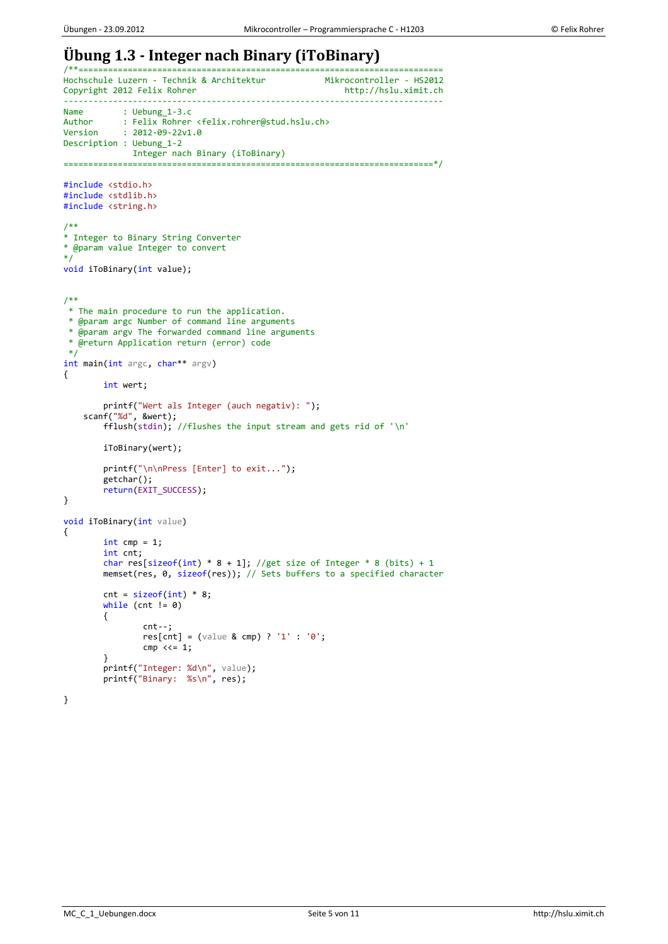# **Übung 1.3 - Integer nach Binary (iToBinary)**

```
/**==========================================================================
Hochschule Luzern - Technik & Architektur Mikrocontroller - HS2012
Copyright 2012 Felix Rohrer
-----------------------------------------------------------------------------
Name : Uebung_1-3.c<br>Author : Felix Rohrer
Author : Felix Rohrer <felix.rohrer@stud.hslu.ch>
Version : 2012-09-22v1.0
Description : Uebung_1-2
 Integer nach Binary (iToBinary)
                                 ===========================================================================*/
#include <stdio.h>
#include <stdlib.h>
#include <string.h>
/**
* Integer to Binary String Converter
* @param value Integer to convert
*/
void iToBinary(int value);
/**
 * The main procedure to run the application.
 * @param argc Number of command line arguments
 * @param argv The forwarded command line arguments
 * @return Application return (error) code
*/
int main(int argc, char** argv)
{
        int wert;
        printf("Wert als Integer (auch negativ): ");
 scanf("%d", &wert);
         fflush(stdin); //flushes the input stream and gets rid of '\n'
        iToBinary(wert);
        printf("\n\nPress [Enter] to exit...");
        getchar();
        return(EXIT_SUCCESS);
}
void iToBinary(int value)
{
        int \text{cmp} = 1;int cnt;
        char res[sizeof(int) * 8 + 1]; //get size of Integer * 8 (bits) + 1
        memset(res, 0, sizeof(res)); // Sets buffers to a specified character
        cnt = sizeof(int) * 8;while (cnt != 0){
                 cnt--;
                 res[cnt] = (value & cmp) ? '1' : '0';
                 cmp <<= 1;}
         printf("Integer: %d\n", value);
         printf("Binary: %s\n", res);
}
```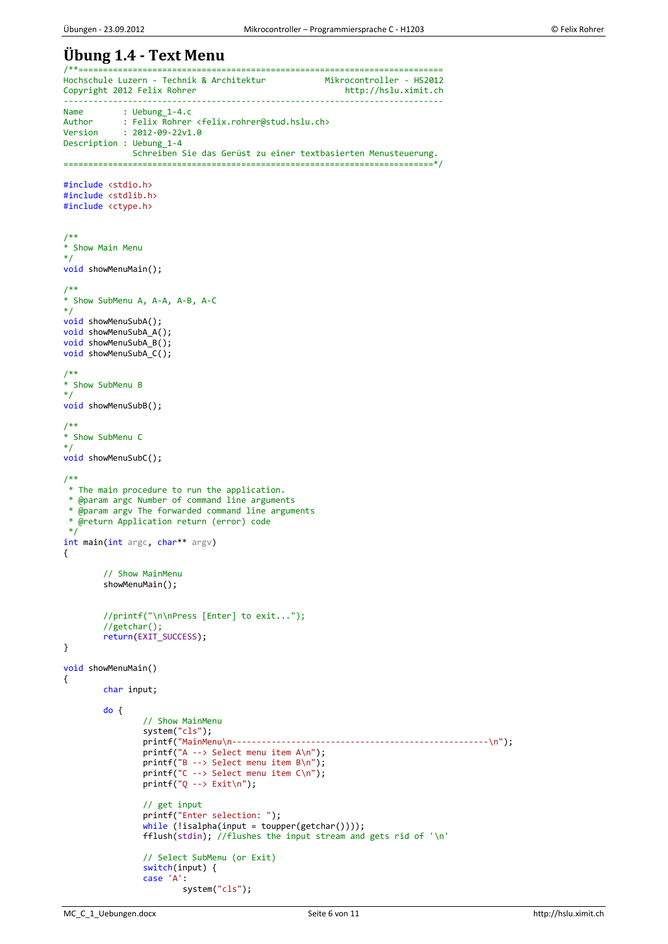#### **Übung 1.4 - Text Menu** /\*\*==========================================================================

```
Hochschule Luzern - Technik & Architektur Mikrocontroller - HS2012<br>Copyright 2012 Felix Rohrer http://hslu.ximit.ch
Copyright 2012 Felix Rohrer
-----------------------------------------------------------------------------
Name : Uebung_1-4.c<br>Author : Felix Rohrer
Author : Felix Rohrer <felix.rohrer@stud.hslu.ch>
Version : 2012-09-22v1.0
Description : Uebung_1-4
           Schreiben Sie das Gerüst zu einer textbasierten Menusteuerung.
===========================================================================*/
#include <stdio.h>
#include <stdlib.h>
#include <ctype.h>
/**
* Show Main Menu
*/
void showMenuMain();
/**
* Show SubMenu A, A-A, A-B, A-C
*/
void showMenuSubA();
void showMenuSubA_A();
void showMenuSubA_B();
void showMenuSubA C();
/**
* Show SubMenu B
*/
void showMenuSubB();
/**
* Show SubMenu C
*/
void showMenuSubC();
/**
* The main procedure to run the application.
* @param argc Number of command line arguments
 * @param argv The forwarded command line arguments
 * @return Application return (error) code
*/
int main(int argc, char** argv)
{
        // Show MainMenu
        showMenuMain();
        //printf("\n\nPress [Enter] to exit...");
        //getchar();
        return(EXIT_SUCCESS);
}
void showMenuMain()
{
        char input;
        do {
                 // Show MainMenu
                 system("cls");
                 printf("MainMenu\n----------------------------------------------------\n");
                 printf("A --> Select menu item A\n");
                 printf("B --> Select menu item B\n");
                 printf("C --> Select menu item C\n");
                 print(f("Q -- > Exit\n');
                 // get input
                 printf("Enter selection: ");
                 while (!isalpha(input = toupper(getchar())));
                 fflush(stdin); //flushes the input stream and gets rid of '\n'
                 // Select SubMenu (or Exit)
                 switch(input) {
                 case 'A':
                          system("cls");
```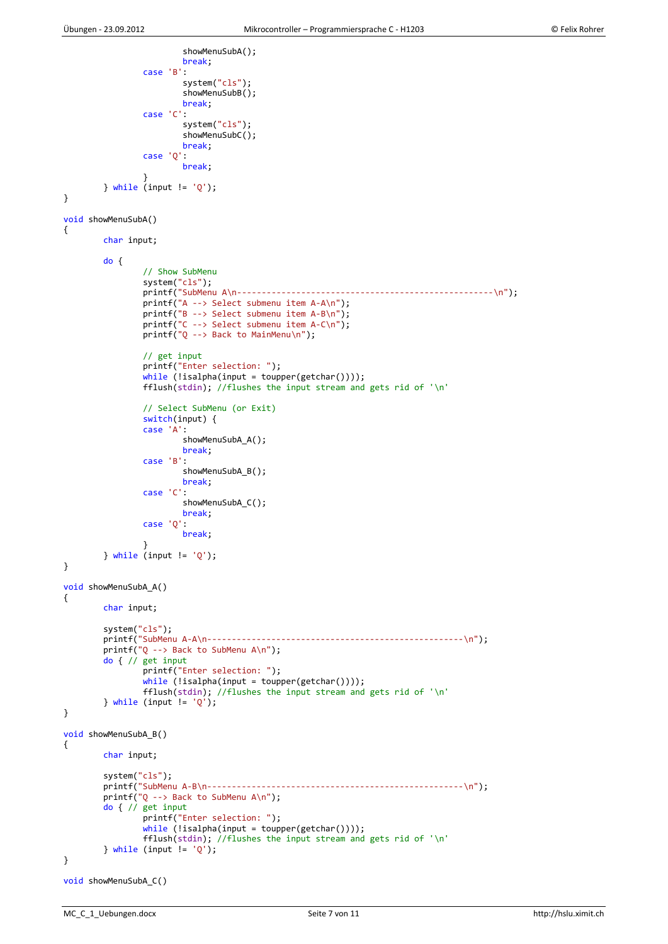```
showMenuSubA();
                        break;
                case 'B':
                        system("cls");
                        showMenuSubB();
                        break;
                case 'C':
                        system("cls");
                        showMenuSubC();
                        break;
                case 'Q':
                        break;
                }
        } while (input != 'Q');
}
void showMenuSubA()
{
        char input;
        do {
                // Show SubMenu
                system("cls");
                printf("SubMenu A\n----------------------------------------------------\n");
                printf("A --> Select submenu item A-A\n");
                printf("B --> Select submenu item A-B\n");
                printf("C --> Select submenu item A-C\n");
                printf("Q --> Back to MainMenu\n");
                // get input
                printf("Enter selection: ");
                while (!isalpha(input = tower(getchar());
                fflush(stdin); //flushes the input stream and gets rid of '\n'
                // Select SubMenu (or Exit)
                switch(input) {
                case 'A':
                        showMenuSubA_A();
                        break;
                case 'B':
                        showMenuSubA_B();
                        break;
                case 'C':
                        showMenuSubA_C();
                        break;
                case 'Q':
                        break;
                }
        } while (input != 'Q');
}
void showMenuSubA_A()
{
        char input;
        system("cls");
        printf("SubMenu A-A\n----------------------------------------------------\n");
        printf("Q --> Back to SubMenu A\n");
        do { // get input
                printf("Enter selection: ");
                while (lisalpha(input = tower(getchar())));fflush(stdin); //flushes the input stream and gets rid of '\n'
        } while (input != 'Q');
}
void showMenuSubA_B()
{
        char input;
        system("cls");
        printf("SubMenu A-B\n----------------------------------------------------\n");
        printf("Q --> Back to SubMenu A\n");
        do { // get input
                printf("Enter selection: ");
                while (!isalpha(input = toupper(getchar())));
                fflush(stdin); //flushes the input stream and gets rid of '\n'
        } while (input != 'Q');
}
```

```
void showMenuSubA_C()
```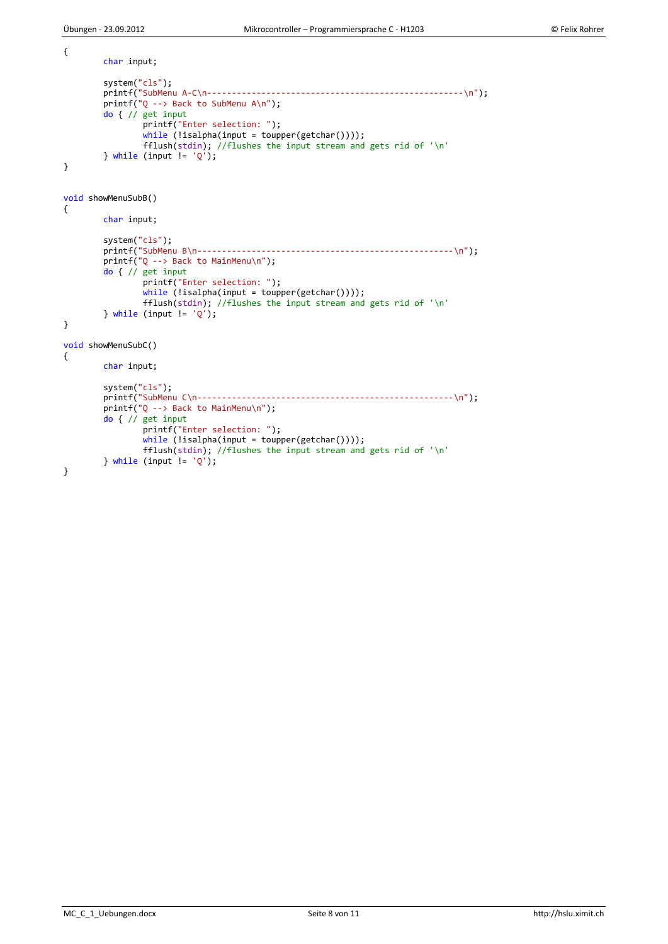MC\_C\_1\_Uebungen.docx Seite 8 von 11 http://hslu.ximit.ch

```
{
        char input;
        system("cls");
        printf("SubMenu A-C\n----------------------------------------------------\n");
        printf("Q --> Back to SubMenu A\n");
        do { // get input
                printf("Enter selection: ");
                while (lisalpha(input = tower(getchar())));fflush(stdin); //flushes the input stream and gets rid of '\n'
        \} while (input != 'Q');
}
void showMenuSubB()
{
        char input;
        system("cls");
        printf("SubMenu B\n----------------------------------------------------\n");
        printf("Q --> Back to MainMenu\n");
        do { // get input
                printf("Enter selection: ");
                while (lisalpha(input = tower(getchar())));fflush(stdin); //flushes the input stream and gets rid of '\n'
        } while (input != 'Q');
}
void showMenuSubC()
{
        char input;
        system("cls");
        printf("SubMenu C\n----------------------------------------------------\n");
        printf("Q --> Back to MainMenu\n");
        do { // get input
                printf("Enter selection: ");
                while (lisalpha(input = tower(getchar())));fflush(stdin); //flushes the input stream and gets rid of '\n'
        } while (input != 'Q');
}
```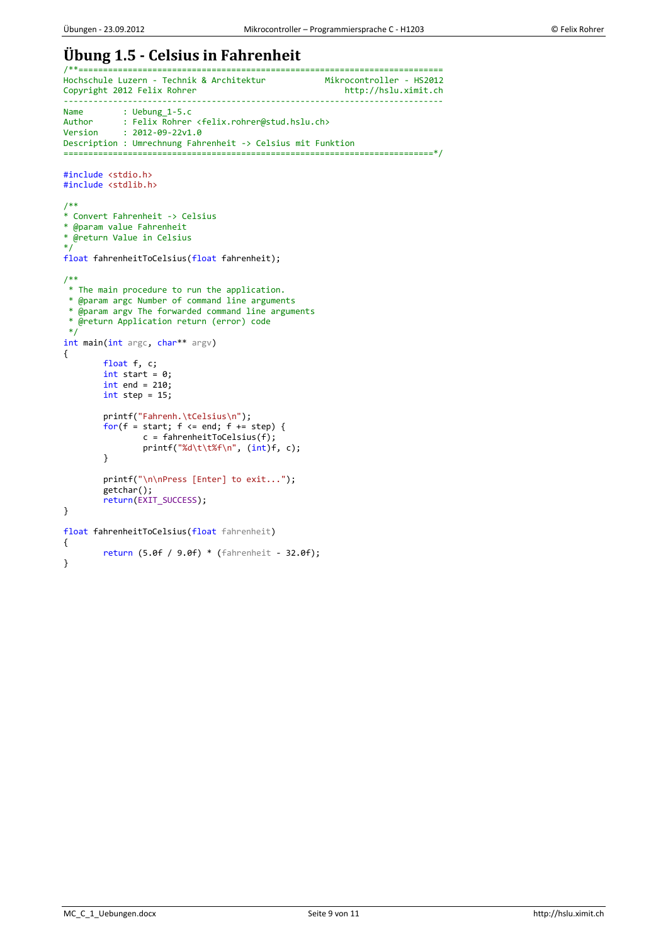# **Übung 1.5 - Celsius in Fahrenheit**

```
/**==========================================================================
Hochschule Luzern - Technik & Architektur Mikrocontroller - HS2012<br>Copyright 2012 Felix Rohrer http://hslu.ximit.ch
Copyright 2012 Felix Rohrer
-----------------------------------------------------------------------------
Name : Uebung_1-5.c<br>Author : Felix Rohrer
Author : Felix Rohrer <felix.rohrer@stud.hslu.ch><br>Version : 2012-09-22v1.0
             : 2012 - 09 - 22v1.0Description : Umrechnung Fahrenheit -> Celsius mit Funktion
===========================================================================*/
#include <stdio.h>
#include <stdlib.h>
/**
* Convert Fahrenheit -> Celsius
* @param value Fahrenheit
* @return Value in Celsius
*/
float fahrenheitToCelsius(float fahrenheit);
/**
 * The main procedure to run the application.
 * @param argc Number of command line arguments
 * @param argv The forwarded command line arguments
 * @return Application return (error) code
 \overline{\overline{}}int main(int argc, char** argv)
{
         float f, c;
         int start = 0;
         int end = 210;
         int step = 15;printf("Fahrenh.\tCelsius\n");
         for(f = start; f <= end; f += step) {
                  c = fahrenheitToCelsius(f);
                  printf("%d\tt\&f\n", (int)f, c);}
         printf("\n\nPress [Enter] to exit...");
         getchar();
         return(EXIT_SUCCESS);
}
float fahrenheitToCelsius(float fahrenheit)
{
         return (5.0f / 9.0f) * (fahrenheit - 32.0f);
}
```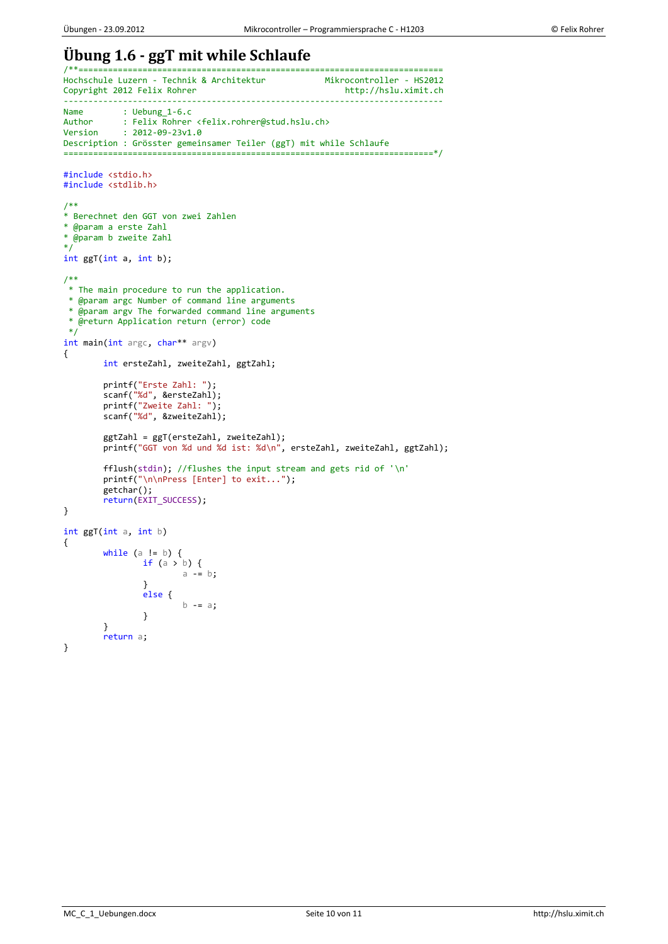### **Übung 1.6 - ggT mit while Schlaufe** /\*\*==========================================================================

```
Hochschule Luzern - Technik & Architektur Mikrocontroller - HS2012
Copyright 2012 Felix Rohrer
-----------------------------------------------------------------------------
Name : Uebung_1-6.c<br>Author : Felix Rohrer
Author : Felix Rohrer <felix.rohrer@stud.hslu.ch>
Version : 2012-09-23v1.0
Description : Grösster gemeinsamer Teiler (ggT) mit while Schlaufe
===========================================================================*/
#include <stdio.h>
#include <stdlib.h>
/**
* Berechnet den GGT von zwei Zahlen
* @param a erste Zahl
* @param b zweite Zahl
*/
int ggT(int a, int b);
/**
* The main procedure to run the application.
* @param argc Number of command line arguments
* @param argv The forwarded command line arguments
* @return Application return (error) code
 */
int main(int argc, char** argv)
{
        int ersteZahl, zweiteZahl, ggtZahl;
        printf("Erste Zahl: ");
         scanf("%d", &ersteZahl);
         printf("Zweite Zahl: ");
        scanf("%d", &zweiteZahl);
         ggtZahl = ggT(ersteZahl, zweiteZahl);
         printf("GGT von %d und %d ist: %d\n", ersteZahl, zweiteZahl, ggtZahl);
        fflush(stdin); //flushes the input stream and gets rid of '\n'
         printf("\n\nPress [Enter] to exit...");
         getchar();
        return(EXIT_SUCCESS);
}
int ggT(int a, int b)
{
        while (a != b) {
                 if (a > b) {
                         a - b:
                 }
                 else {
                         b -= a;
                 }
        }
        return a;
}
```